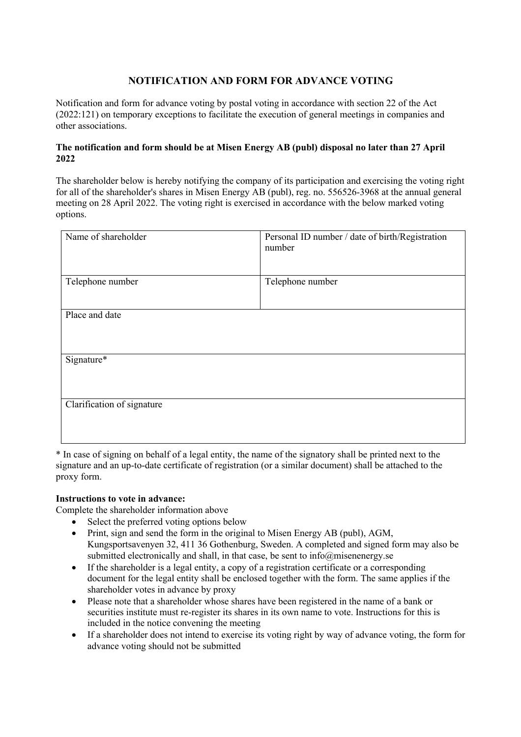## **NOTIFICATION AND FORM FOR ADVANCE VOTING**

Notification and form for advance voting by postal voting in accordance with section 22 of the Act (2022:121) on temporary exceptions to facilitate the execution of general meetings in companies and other associations.

## **The notification and form should be at Misen Energy AB (publ) disposal no later than 27 April 2022**

The shareholder below is hereby notifying the company of its participation and exercising the voting right for all of the shareholder's shares in Misen Energy AB (publ), reg. no. 556526-3968 at the annual general meeting on 28 April 2022. The voting right is exercised in accordance with the below marked voting options.

| Name of shareholder        | Personal ID number / date of birth/Registration<br>number |
|----------------------------|-----------------------------------------------------------|
| Telephone number           | Telephone number                                          |
| Place and date             |                                                           |
| Signature*                 |                                                           |
| Clarification of signature |                                                           |

\* In case of signing on behalf of a legal entity, the name of the signatory shall be printed next to the signature and an up-to-date certificate of registration (or a similar document) shall be attached to the proxy form.

## **Instructions to vote in advance:**

Complete the shareholder information above

- Select the preferred voting options below
- Print, sign and send the form in the original to Misen Energy AB (publ), AGM, Kungsportsavenyen 32, 411 36 Gothenburg, Sweden. A completed and signed form may also be submitted electronically and shall, in that case, be sent to info@misenenergy.se
- If the shareholder is a legal entity, a copy of a registration certificate or a corresponding document for the legal entity shall be enclosed together with the form. The same applies if the shareholder votes in advance by proxy
- Please note that a shareholder whose shares have been registered in the name of a bank or securities institute must re-register its shares in its own name to vote. Instructions for this is included in the notice convening the meeting
- If a shareholder does not intend to exercise its voting right by way of advance voting, the form for advance voting should not be submitted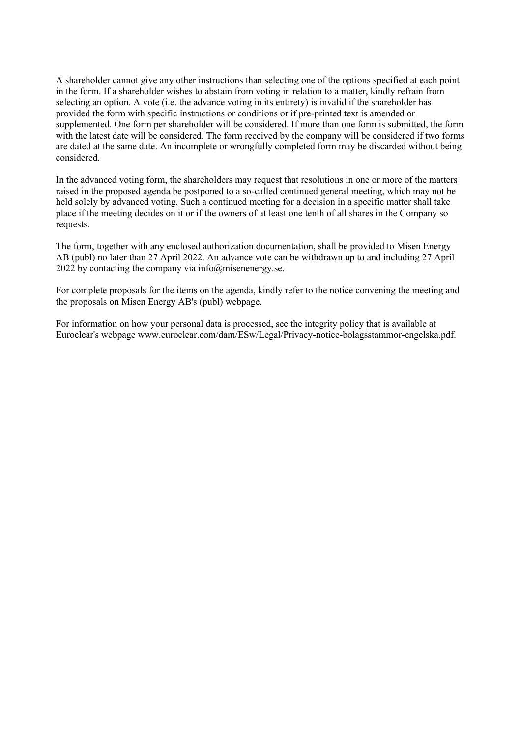A shareholder cannot give any other instructions than selecting one of the options specified at each point in the form. If a shareholder wishes to abstain from voting in relation to a matter, kindly refrain from selecting an option. A vote (i.e. the advance voting in its entirety) is invalid if the shareholder has provided the form with specific instructions or conditions or if pre-printed text is amended or supplemented. One form per shareholder will be considered. If more than one form is submitted, the form with the latest date will be considered. The form received by the company will be considered if two forms are dated at the same date. An incomplete or wrongfully completed form may be discarded without being considered.

In the advanced voting form, the shareholders may request that resolutions in one or more of the matters raised in the proposed agenda be postponed to a so-called continued general meeting, which may not be held solely by advanced voting. Such a continued meeting for a decision in a specific matter shall take place if the meeting decides on it or if the owners of at least one tenth of all shares in the Company so requests.

The form, together with any enclosed authorization documentation, shall be provided to Misen Energy AB (publ) no later than 27 April 2022. An advance vote can be withdrawn up to and including 27 April 2022 by contacting the company via  $info@$ misenenergy.se.

For complete proposals for the items on the agenda, kindly refer to the notice convening the meeting and the proposals on Misen Energy AB's (publ) webpage.

For information on how your personal data is processed, see the integrity policy that is available at Euroclear's webpage www.euroclear.com/dam/ESw/Legal/Privacy-notice-bolagsstammor-engelska.pdf.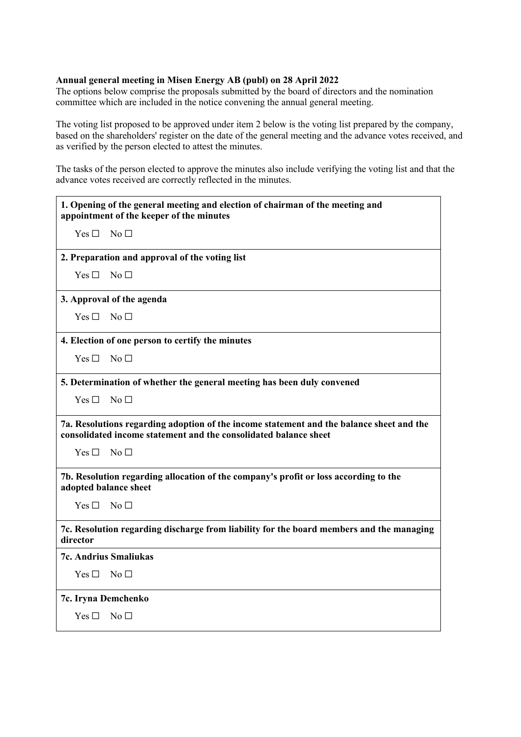## **Annual general meeting in Misen Energy AB (publ) on 28 April 2022**

The options below comprise the proposals submitted by the board of directors and the nomination committee which are included in the notice convening the annual general meeting.

The voting list proposed to be approved under item 2 below is the voting list prepared by the company, based on the shareholders' register on the date of the general meeting and the advance votes received, and as verified by the person elected to attest the minutes.

The tasks of the person elected to approve the minutes also include verifying the voting list and that the advance votes received are correctly reflected in the minutes.

| 1. Opening of the general meeting and election of chairman of the meeting and<br>appointment of the keeper of the minutes                                    |                                                                                          |
|--------------------------------------------------------------------------------------------------------------------------------------------------------------|------------------------------------------------------------------------------------------|
| Yes $\square$                                                                                                                                                | $N_0 \Box$                                                                               |
|                                                                                                                                                              | 2. Preparation and approval of the voting list                                           |
| Yes $\Box$                                                                                                                                                   | No <sub>1</sub>                                                                          |
|                                                                                                                                                              | 3. Approval of the agenda                                                                |
| $Yes \Box$                                                                                                                                                   | No <sub>1</sub>                                                                          |
|                                                                                                                                                              | 4. Election of one person to certify the minutes                                         |
| $Yes \Box$                                                                                                                                                   | No <sub>1</sub>                                                                          |
|                                                                                                                                                              | 5. Determination of whether the general meeting has been duly convened                   |
| Yes $\Box$                                                                                                                                                   | No <sub>1</sub>                                                                          |
| 7a. Resolutions regarding adoption of the income statement and the balance sheet and the<br>consolidated income statement and the consolidated balance sheet |                                                                                          |
| Yes $\Box$                                                                                                                                                   | No <sub>1</sub>                                                                          |
| 7b. Resolution regarding allocation of the company's profit or loss according to the<br>adopted balance sheet                                                |                                                                                          |
| Yes $\Box$                                                                                                                                                   | No <sub>1</sub>                                                                          |
| director                                                                                                                                                     | 7c. Resolution regarding discharge from liability for the board members and the managing |
|                                                                                                                                                              | <b>7c. Andrius Smaliukas</b>                                                             |
| Yes $\Box$                                                                                                                                                   | No <sub>1</sub>                                                                          |
| 7c. Iryna Demchenko                                                                                                                                          |                                                                                          |
| Yes $\square$                                                                                                                                                | No <sub>1</sub>                                                                          |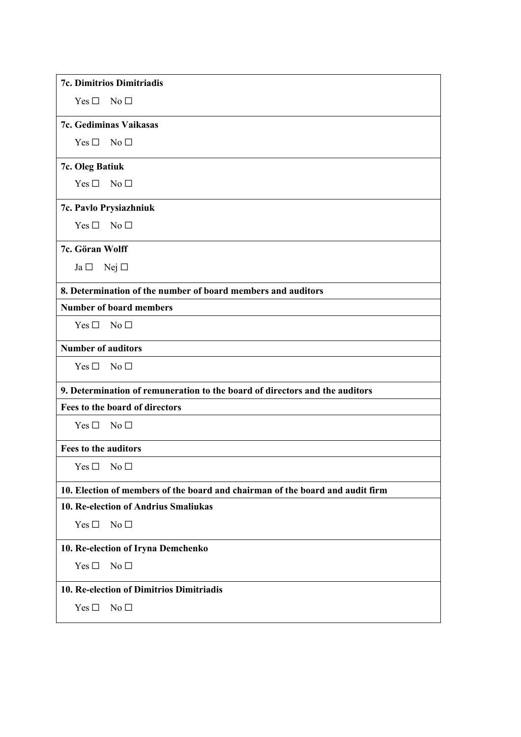| 7c. Dimitrios Dimitriadis                                                     |  |
|-------------------------------------------------------------------------------|--|
| Yes $\Box$<br>No <sub>1</sub>                                                 |  |
| 7c. Gediminas Vaikasas                                                        |  |
| No <sub>1</sub><br>Yes $\Box$                                                 |  |
| 7c. Oleg Batiuk                                                               |  |
| No <sub>1</sub><br>Yes $\square$                                              |  |
| 7c. Pavlo Prysiazhniuk                                                        |  |
| No <sub>1</sub><br>Yes $\square$                                              |  |
| 7c. Göran Wolff                                                               |  |
| Nej $\square$<br>$Ja \Box$                                                    |  |
| 8. Determination of the number of board members and auditors                  |  |
| <b>Number of board members</b>                                                |  |
| No <sub>1</sub><br>Yes $\square$                                              |  |
| <b>Number of auditors</b>                                                     |  |
| Yes $\square$<br>No <sub>1</sub>                                              |  |
| 9. Determination of remuneration to the board of directors and the auditors   |  |
| Fees to the board of directors                                                |  |
| No <sub>1</sub><br>Yes $\square$                                              |  |
| Fees to the auditors                                                          |  |
| Yes □<br>$\rm No~\Box$                                                        |  |
| 10. Election of members of the board and chairman of the board and audit firm |  |
| 10. Re-election of Andrius Smaliukas                                          |  |
| Yes $\square$<br>No <sub>1</sub>                                              |  |
| 10. Re-election of Iryna Demchenko                                            |  |
| Yes $\square$<br>No <sub>1</sub>                                              |  |
| 10. Re-election of Dimitrios Dimitriadis                                      |  |
| Yes $\square$<br>No <sub>1</sub>                                              |  |